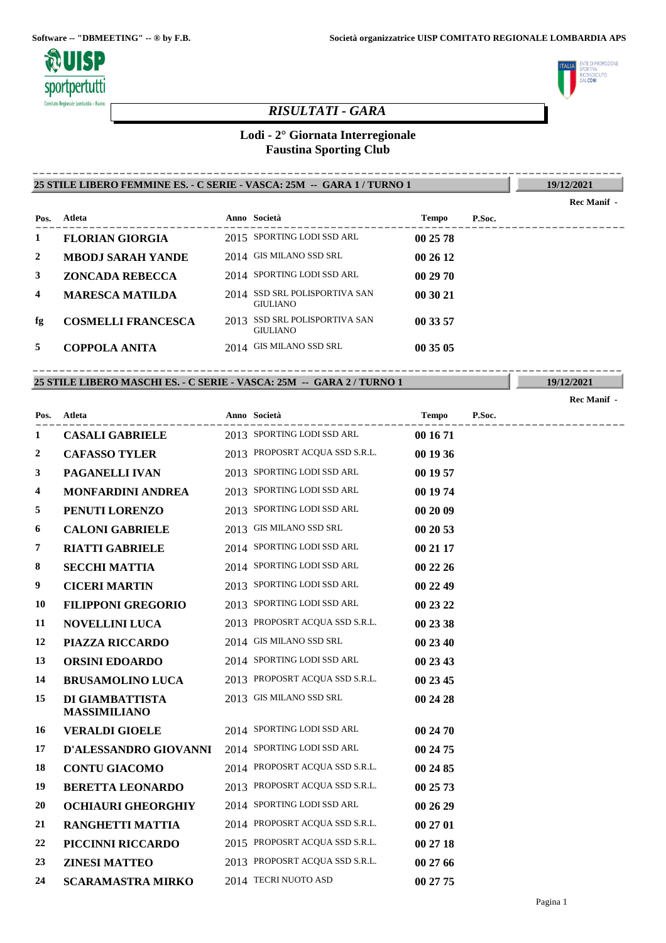

# **TE DI PROMOZIONE LITO** uunusi<br>Ne**coni**

# *RISULTATI - GARA*

## **Lodi - 2° Giornata Interregionale Faustina Sporting Club**

#### **25 STILE LIBERO FEMMINE ES. - C SERIE - VASCA: 25M -- GARA 1 / TURNO 1** ----------------------------------------------------------------------------------------

**19/12/2021**

**Rec Manif -** 

| Pos. | Atleta                    | Anno Società                                     | Tempo    | P.Soc. |
|------|---------------------------|--------------------------------------------------|----------|--------|
|      | <b>FLORIAN GIORGIA</b>    | 2015 SPORTING LODI SSD ARL                       | 00 25 78 |        |
| 2    | <b>MBODJ SARAH YANDE</b>  | 2014 GIS MILANO SSD SRL                          | 002612   |        |
| 3    | <b>ZONCADA REBECCA</b>    | 2014 SPORTING LODI SSD ARL                       | 00 29 70 |        |
| 4    | <b>MARESCA MATILDA</b>    | 2014 SSD SRL POLISPORTIVA SAN<br><b>GIULIANO</b> | 00 30 21 |        |
| fg   | <b>COSMELLI FRANCESCA</b> | 2013 SSD SRL POLISPORTIVA SAN<br><b>GIULIANO</b> | 00 33 57 |        |
| 5    | <b>COPPOLA ANITA</b>      | 2014 GIS MILANO SSD SRL                          | 00 35 05 |        |
|      |                           |                                                  |          |        |

## **25 STILE LIBERO MASCHI ES. - C SERIE - VASCA: 25M -- GARA 2 / TURNO 1** ----------------------------------------------------------------------------------------

**19/12/2021 Rec Manif -** 

| Pos.             | Atleta                                 | Anno Società                   | <b>Tempo</b> | P.Soc.<br>--------------- |
|------------------|----------------------------------------|--------------------------------|--------------|---------------------------|
| 1                | <b>CASALI GABRIELE</b>                 | 2013 SPORTING LODI SSD ARL     | 00 16 71     |                           |
| $\boldsymbol{2}$ | <b>CAFASSO TYLER</b>                   | 2013 PROPOSRT ACQUA SSD S.R.L. | 00 19 36     |                           |
| 3                | PAGANELLI IVAN                         | 2013 SPORTING LODI SSD ARL     | 00 19 57     |                           |
| 4                | <b>MONFARDINI ANDREA</b>               | 2013 SPORTING LODI SSD ARL     | 00 19 74     |                           |
| 5                | PENUTI LORENZO                         | 2013 SPORTING LODI SSD ARL     | 00 20 09     |                           |
| 6                | <b>CALONI GABRIELE</b>                 | 2013 GIS MILANO SSD SRL        | 00 20 53     |                           |
| 7                | <b>RIATTI GABRIELE</b>                 | 2014 SPORTING LODI SSD ARL     | 00 21 17     |                           |
| 8                | <b>SECCHI MATTIA</b>                   | 2014 SPORTING LODI SSD ARL     | 00 22 26     |                           |
| 9                | <b>CICERI MARTIN</b>                   | 2013 SPORTING LODI SSD ARL     | 00 22 49     |                           |
| 10               | <b>FILIPPONI GREGORIO</b>              | 2013 SPORTING LODI SSD ARL     | 00 23 22     |                           |
| 11               | <b>NOVELLINI LUCA</b>                  | 2013 PROPOSRT ACQUA SSD S.R.L. | 00 23 38     |                           |
| 12               | PIAZZA RICCARDO                        | 2014 GIS MILANO SSD SRL        | 00 23 40     |                           |
| 13               | <b>ORSINI EDOARDO</b>                  | 2014 SPORTING LODI SSD ARL     | 00 23 43     |                           |
| 14               | <b>BRUSAMOLINO LUCA</b>                | 2013 PROPOSRT ACQUA SSD S.R.L. | 00 23 45     |                           |
| 15               | DI GIAMBATTISTA<br><b>MASSIMILIANO</b> | 2013 GIS MILANO SSD SRL        | 00 24 28     |                           |
| 16               | <b>VERALDI GIOELE</b>                  | 2014 SPORTING LODI SSD ARL     | 00 24 70     |                           |
| 17               | D'ALESSANDRO GIOVANNI                  | 2014 SPORTING LODI SSD ARL     | 00 24 75     |                           |
| 18               | <b>CONTU GIACOMO</b>                   | 2014 PROPOSRT ACQUA SSD S.R.L. | 00 24 85     |                           |
| 19               | <b>BERETTA LEONARDO</b>                | 2013 PROPOSRT ACQUA SSD S.R.L. | 00 25 73     |                           |
| <b>20</b>        | <b>OCHIAURI GHEORGHIY</b>              | 2014 SPORTING LODI SSD ARL     | 00 26 29     |                           |
| 21               | <b>RANGHETTI MATTIA</b>                | 2014 PROPOSRT ACQUA SSD S.R.L. | 00 27 01     |                           |
| 22               | PICCINNI RICCARDO                      | 2015 PROPOSRT ACQUA SSD S.R.L. | 00 27 18     |                           |
| 23               | <b>ZINESI MATTEO</b>                   | 2013 PROPOSRT ACQUA SSD S.R.L. | 00 27 66     |                           |
| 24               | <b>SCARAMASTRA MIRKO</b>               | 2014 TECRI NUOTO ASD           | 00 27 75     |                           |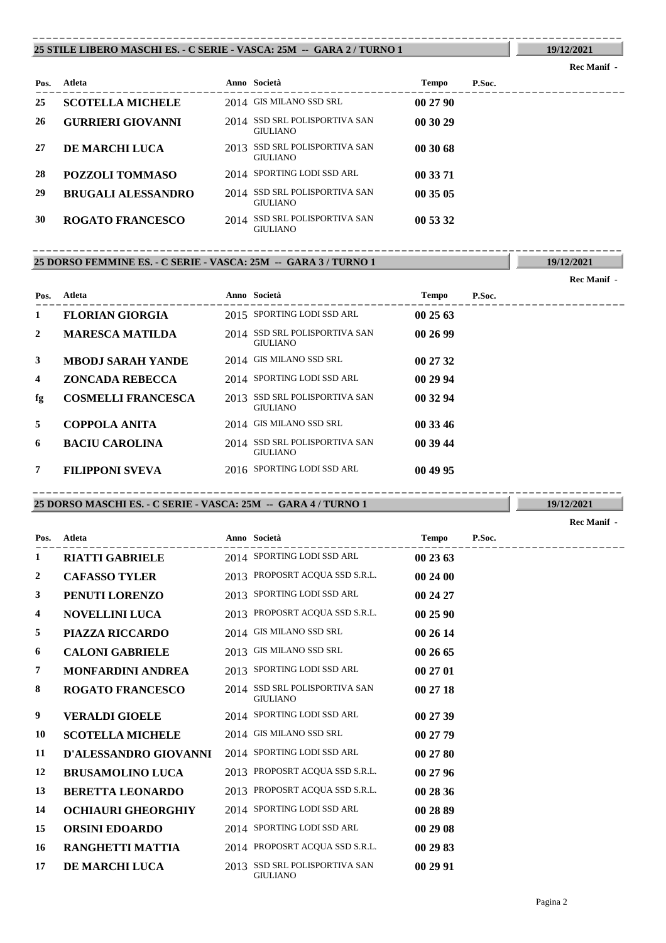#### **25 STILE LIBERO MASCHI ES. - C SERIE - VASCA: 25M -- GARA 2 / TURNO 1** ----------------------------------------------------------------------------------------

## **Rec Manif -**

**19/12/2021**

**19/12/2021**

| Pos. | Atleta                    | Anno Società                                     | <b>Tempo</b> | P.Soc. |
|------|---------------------------|--------------------------------------------------|--------------|--------|
| 25   | <b>SCOTELLA MICHELE</b>   | 2014 GIS MILANO SSD SRL                          | 002790       |        |
| 26   | <b>GURRIERI GIOVANNI</b>  | 2014 SSD SRL POLISPORTIVA SAN<br><b>GIULIANO</b> | 00 30 29     |        |
| 27   | DE MARCHI LUCA            | 2013 SSD SRL POLISPORTIVA SAN<br><b>GIULIANO</b> | 003068       |        |
| 28   | POZZOLI TOMMASO           | 2014 SPORTING LODI SSD ARL                       | 00 33 71     |        |
| 29   | <b>BRUGALI ALESSANDRO</b> | 2014 SSD SRL POLISPORTIVA SAN<br><b>GIULIANO</b> | 00 35 05     |        |
| 30   | <b>ROGATO FRANCESCO</b>   | 2014 SSD SRL POLISPORTIVA SAN<br><b>GIULIANO</b> | 00 53 32     |        |

## **25 DORSO FEMMINE ES. - C SERIE - VASCA: 25M -- GARA 3 / TURNO 1** ----------------------------------------------------------------------------------------

|              |                           |      |                                                  |              |        | Rec Manif - |
|--------------|---------------------------|------|--------------------------------------------------|--------------|--------|-------------|
| Pos.         | Atleta                    |      | Anno Società                                     | <b>Tempo</b> | P.Soc. |             |
| 1            | <b>FLORIAN GIORGIA</b>    |      | 2015 SPORTING LODI SSD ARL                       | 002563       |        |             |
| 2            | <b>MARESCA MATILDA</b>    |      | 2014 SSD SRL POLISPORTIVA SAN<br><b>GIULIANO</b> | 002699       |        |             |
| $\mathbf{3}$ | <b>MBODJ SARAH YANDE</b>  |      | 2014 GIS MILANO SSD SRL                          | 00 27 32     |        |             |
| 4            | <b>ZONCADA REBECCA</b>    |      | 2014 SPORTING LODI SSD ARL                       | 00 29 94     |        |             |
| fg           | <b>COSMELLI FRANCESCA</b> | 2013 | SSD SRL POLISPORTIVA SAN<br><b>GIULIANO</b>      | 00 32 94     |        |             |
| 5            | <b>COPPOLA ANITA</b>      |      | 2014 GIS MILANO SSD SRL                          | 00 33 46     |        |             |
| 6            | <b>BACIU CAROLINA</b>     |      | 2014 SSD SRL POLISPORTIVA SAN<br><b>GIULIANO</b> | 00 39 44     |        |             |
| 7            | <b>FILIPPONI SVEVA</b>    |      | 2016 SPORTING LODI SSD ARL                       | 00 49 95     |        |             |

## **25 DORSO MASCHI ES. - C SERIE - VASCA: 25M -- GARA 4 / TURNO 1** ----------------------------------------------------------------------------------------

|      |                           |                                                  |              |        | <b>Rec Manif</b> - |
|------|---------------------------|--------------------------------------------------|--------------|--------|--------------------|
| Pos. | Atleta                    | Anno Società                                     | <b>Tempo</b> | P.Soc. |                    |
| 1    | <b>RIATTI GABRIELE</b>    | 2014 SPORTING LODI SSD ARL                       | 00 23 63     |        |                    |
| 2    | <b>CAFASSO TYLER</b>      | 2013 PROPOSRT ACQUA SSD S.R.L.                   | 002400       |        |                    |
| 3    | PENUTI LORENZO            | 2013 SPORTING LODI SSD ARL                       | 00 24 27     |        |                    |
| 4    | <b>NOVELLINI LUCA</b>     | 2013 PROPOSRT ACQUA SSD S.R.L.                   | 00 25 90     |        |                    |
| 5    | PIAZZA RICCARDO           | 2014 GIS MILANO SSD SRL                          | 00 26 14     |        |                    |
| 6    | <b>CALONI GABRIELE</b>    | 2013 GIS MILANO SSD SRL                          | 00 26 65     |        |                    |
| 7    | <b>MONFARDINI ANDREA</b>  | 2013 SPORTING LODI SSD ARL                       | 00 27 01     |        |                    |
| 8    | <b>ROGATO FRANCESCO</b>   | 2014 SSD SRL POLISPORTIVA SAN<br><b>GIULIANO</b> | 00 27 18     |        |                    |
| 9    | <b>VERALDI GIOELE</b>     | 2014 SPORTING LODI SSD ARL                       | 00 27 39     |        |                    |
| 10   | <b>SCOTELLA MICHELE</b>   | 2014 GIS MILANO SSD SRL                          | 00 27 79     |        |                    |
| 11   | D'ALESSANDRO GIOVANNI     | 2014 SPORTING LODI SSD ARL                       | 00 27 80     |        |                    |
| 12   | <b>BRUSAMOLINO LUCA</b>   | 2013 PROPOSRT ACQUA SSD S.R.L.                   | 00 27 96     |        |                    |
| 13   | <b>BERETTA LEONARDO</b>   | 2013 PROPOSRT ACQUA SSD S.R.L.                   | 00 28 36     |        |                    |
| 14   | <b>OCHIAURI GHEORGHIY</b> | 2014 SPORTING LODI SSD ARL                       | 00 28 89     |        |                    |
| 15   | <b>ORSINI EDOARDO</b>     | 2014 SPORTING LODI SSD ARL                       | 00 29 08     |        |                    |
| 16   | RANGHETTI MATTIA          | 2014 PROPOSRT ACQUA SSD S.R.L.                   | 00 29 83     |        |                    |
| 17   | <b>DE MARCHI LUCA</b>     | 2013 SSD SRL POLISPORTIVA SAN<br><b>GIULIANO</b> | 00 29 91     |        |                    |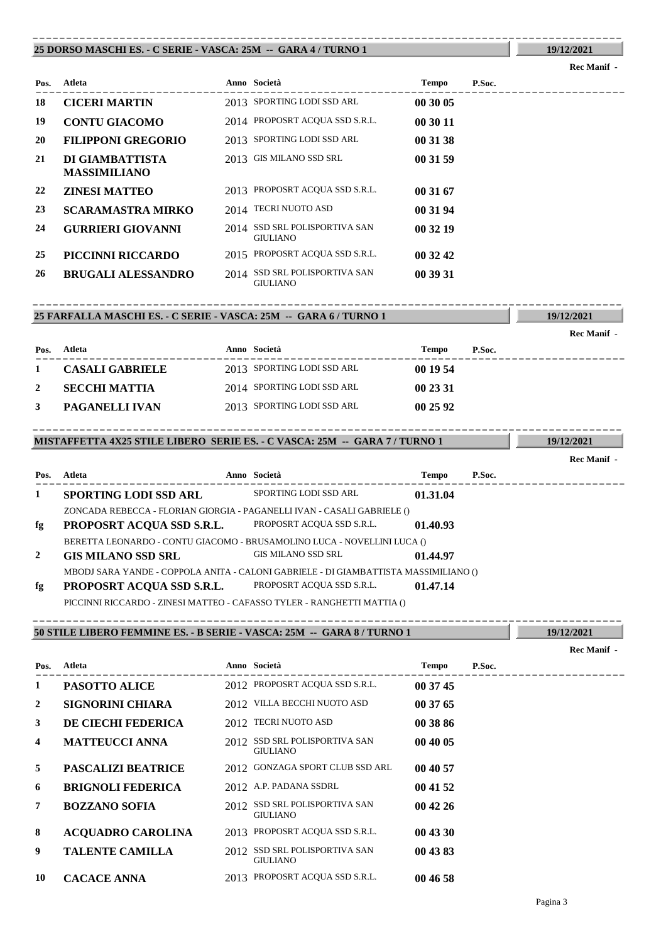#### **25 DORSO MASCHI ES. - C SERIE - VASCA: 25M -- GARA 4 / TURNO 1** ----------------------------------------------------------------------------------------

## **Rec Manif -**

**19/12/2021**

**19/12/2021**

**19/12/2021**

| Pos. | Atleta                                 | Anno Società                                     | Tempo    | P.Soc. |
|------|----------------------------------------|--------------------------------------------------|----------|--------|
| 18   | <b>CICERI MARTIN</b>                   | 2013 SPORTING LODI SSD ARL                       | 00 30 05 |        |
| 19   | <b>CONTU GIACOMO</b>                   | 2014 PROPOSRT ACQUA SSD S.R.L.                   | 00 30 11 |        |
| 20   | <b>FILIPPONI GREGORIO</b>              | 2013 SPORTING LODI SSD ARL                       | 00 31 38 |        |
| 21   | DI GIAMBATTISTA<br><b>MASSIMILIANO</b> | 2013 GIS MILANO SSD SRL                          | 00 31 59 |        |
| 22   | <b>ZINESI MATTEO</b>                   | 2013 PROPOSRT ACQUA SSD S.R.L.                   | 00 31 67 |        |
| 23   | <b>SCARAMASTRA MIRKO</b>               | 2014 TECRI NUOTO ASD                             | 00 31 94 |        |
| 24   | <b>GURRIERI GIOVANNI</b>               | 2014 SSD SRL POLISPORTIVA SAN<br><b>GIULIANO</b> | 00 32 19 |        |
| 25   | PICCINNI RICCARDO                      | 2015 PROPOSRT ACQUA SSD S.R.L.                   | 00 32 42 |        |
| 26   | <b>BRUGALI ALESSANDRO</b>              | 2014 SSD SRL POLISPORTIVA SAN<br><b>GIULIANO</b> | 00 39 31 |        |

## **25 FARFALLA MASCHI ES. - C SERIE - VASCA: 25M -- GARA 6 / TURNO 1** ----------------------------------------------------------------------------------------

|      |                        |                            |          |        | Rec Manif - |
|------|------------------------|----------------------------|----------|--------|-------------|
| Pos. | Atleta                 | Anno Società               | Tempo    | P.Soc. |             |
|      | <b>CASALI GABRIELE</b> | 2013 SPORTING LODI SSD ARL | 00 19 54 |        |             |
|      | <b>SECCHI MATTIA</b>   | 2014 SPORTING LODI SSD ARL | 00 23 31 |        |             |
| 3    | PAGANELLI IVAN         | 2013 SPORTING LODI SSD ARL | 00 25 92 |        |             |

### **MISTAFFETTA 4X25 STILE LIBERO SERIE ES. - C VASCA: 25M -- GARA 7 / TURNO 1** ----------------------------------------------------------------------------------------

---------------------------------------------------------------------------------------- **Atleta Anno Società Tempo P.Soc. Pos. Rec Manif - 1 SPORTING LODI SSD ARL** SPORTING LODI SSD ARL **01.31.04** ZONCADA REBECCA - FLORIAN GIORGIA - PAGANELLI IVAN - CASALI GABRIELE () **fg PROPOSRT ACQUA SSD S.R.L.** PROPOSRT ACQUA SSD S.R.L. **01.40.93** BERETTA LEONARDO - CONTU GIACOMO - BRUSAMOLINO LUCA - NOVELLINI LUCA () **2 GIS MILANO SSD SRL** GIS MILANO SSD SRL **01.44.97** MBODJ SARA YANDE - COPPOLA ANITA - CALONI GABRIELE - DI GIAMBATTISTA MASSIMILIANO () **fg PROPOSRT ACQUA SSD S.R.L.** PROPOSRT ACQUA SSD S.R.L. **01.47.14** PICCINNI RICCARDO - ZINESI MATTEO - CAFASSO TYLER - RANGHETTI MATTIA ()

## **50 STILE LIBERO FEMMINE ES. - B SERIE - VASCA: 25M -- GARA 8 / TURNO 1** ----------------------------------------------------------------------------------------

|                |                           |       |                                                  |              |        | <b>Rec Manif -</b> |
|----------------|---------------------------|-------|--------------------------------------------------|--------------|--------|--------------------|
| Pos.           | Atleta                    |       | Anno Società                                     | <b>Tempo</b> | P.Soc. |                    |
| $\mathbf{1}$   | PASOTTO ALICE             |       | 2012 PROPOSRT ACQUA SSD S.R.L.                   | 00 37 45     |        |                    |
| $\overline{2}$ | <b>SIGNORINI CHIARA</b>   |       | 2012 VILLA BECCHI NUOTO ASD                      | 00 37 65     |        |                    |
| $\mathbf{3}$   | DE CIECHI FEDERICA        |       | 2012 TECRI NUOTO ASD                             | 00 38 86     |        |                    |
| $\overline{4}$ | <b>MATTEUCCI ANNA</b>     | 2012. | SSD SRL POLISPORTIVA SAN<br><b>GIULIANO</b>      | 00 40 05     |        |                    |
| 5              | <b>PASCALIZI BEATRICE</b> |       | 2012 GONZAGA SPORT CLUB SSD ARL                  | 00 40 57     |        |                    |
| 6              | <b>BRIGNOLI FEDERICA</b>  |       | 2012 A.P. PADANA SSDRL                           | 00 41 52     |        |                    |
| 7              | <b>BOZZANO SOFIA</b>      |       | 2012 SSD SRL POLISPORTIVA SAN<br><b>GIULIANO</b> | 004226       |        |                    |
| 8              | <b>ACQUADRO CAROLINA</b>  |       | 2013 PROPOSRT ACQUA SSD S.R.L.                   | 00 43 30     |        |                    |
| 9              | <b>TALENTE CAMILLA</b>    |       | 2012 SSD SRL POLISPORTIVA SAN<br><b>GIULIANO</b> | 00 43 83     |        |                    |
| 10             | <b>CACACE ANNA</b>        |       | 2013 PROPOSRT ACQUA SSD S.R.L.                   | 00 46 58     |        |                    |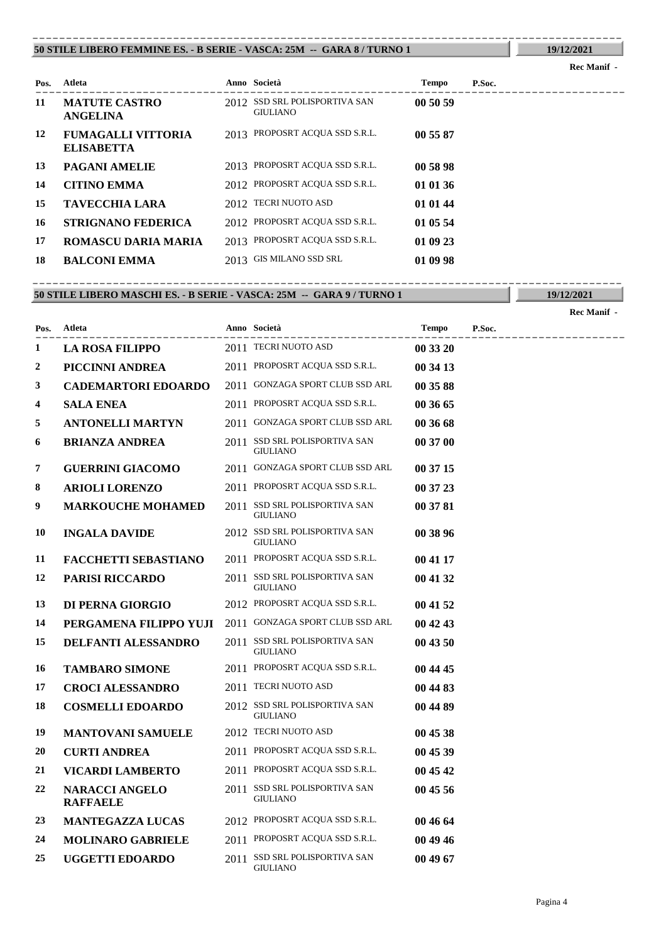#### **50 STILE LIBERO FEMMINE ES. - B SERIE - VASCA: 25M -- GARA 8 / TURNO 1** ----------------------------------------------------------------------------------------

## **Rec Manif -**

**19/12/2021**

| Pos. | Atleta                                         | Anno Società                                     | <b>Tempo</b> | P.Soc. |
|------|------------------------------------------------|--------------------------------------------------|--------------|--------|
| 11   | <b>MATUTE CASTRO</b><br><b>ANGELINA</b>        | 2012 SSD SRL POLISPORTIVA SAN<br><b>GIULIANO</b> | 00 50 59     |        |
| 12   | <b>FUMAGALLI VITTORIA</b><br><b>ELISABETTA</b> | 2013 PROPOSRT ACQUA SSD S.R.L.                   | 00 55 87     |        |
| 13   | <b>PAGANI AMELIE</b>                           | 2013 PROPOSRT ACQUA SSD S.R.L.                   | 00 58 98     |        |
| 14   | <b>CITINO EMMA</b>                             | 2012 PROPOSRT ACQUA SSD S.R.L.                   | 01 01 36     |        |
| 15   | <b>TAVECCHIA LARA</b>                          | 2012 TECRI NUOTO ASD                             | 01 01 44     |        |
| 16   | <b>STRIGNANO FEDERICA</b>                      | 2012 PROPOSRT ACQUA SSD S.R.L.                   | 01 05 54     |        |
| 17   | <b>ROMASCU DARIA MARIA</b>                     | 2013 PROPOSRT ACQUA SSD S.R.L.                   | 01 09 23     |        |
| 18   | <b>BALCONI EMMA</b>                            | 2013 GIS MILANO SSD SRL                          | 01 09 98     |        |

**50 STILE LIBERO MASCHI ES. - B SERIE - VASCA: 25M -- GARA 9 / TURNO 1** ----------------------------------------------------------------------------------------

**19/12/2021**

**Rec Manif -** 

| Pos. | Atleta                                   | Anno Società                                     | <b>Tempo</b> | P.Soc. |
|------|------------------------------------------|--------------------------------------------------|--------------|--------|
| 1    | <b>LA ROSA FILIPPO</b>                   | 2011 TECRI NUOTO ASD                             | 00 33 20     |        |
| 2    | PICCINNI ANDREA                          | 2011 PROPOSRT ACQUA SSD S.R.L.                   | 00 34 13     |        |
| 3    | <b>CADEMARTORI EDOARDO</b>               | 2011 GONZAGA SPORT CLUB SSD ARL                  | 00 35 88     |        |
| 4    | <b>SALA ENEA</b>                         | 2011 PROPOSRT ACQUA SSD S.R.L.                   | 00 36 65     |        |
| 5    | <b>ANTONELLI MARTYN</b>                  | 2011 GONZAGA SPORT CLUB SSD ARL                  | 00 36 68     |        |
| 6    | <b>BRIANZA ANDREA</b>                    | 2011 SSD SRL POLISPORTIVA SAN<br><b>GIULIANO</b> | 00 37 00     |        |
| 7    | <b>GUERRINI GIACOMO</b>                  | 2011 GONZAGA SPORT CLUB SSD ARL                  | 00 37 15     |        |
| 8    | <b>ARIOLI LORENZO</b>                    | 2011 PROPOSRT ACQUA SSD S.R.L.                   | 00 37 23     |        |
| 9    | <b>MARKOUCHE MOHAMED</b>                 | 2011 SSD SRL POLISPORTIVA SAN<br><b>GIULIANO</b> | 00 37 81     |        |
| 10   | <b>INGALA DAVIDE</b>                     | 2012 SSD SRL POLISPORTIVA SAN<br><b>GIULIANO</b> | 00 38 96     |        |
| 11   | <b>FACCHETTI SEBASTIANO</b>              | 2011 PROPOSRT ACQUA SSD S.R.L.                   | 00 41 17     |        |
| 12   | <b>PARISI RICCARDO</b>                   | 2011 SSD SRL POLISPORTIVA SAN<br><b>GIULIANO</b> | 00 41 32     |        |
| 13   | DI PERNA GIORGIO                         | 2012 PROPOSRT ACQUA SSD S.R.L.                   | 00 41 52     |        |
| 14   | PERGAMENA FILIPPO YUJI                   | 2011 GONZAGA SPORT CLUB SSD ARL                  | 00 42 43     |        |
| 15   | <b>DELFANTI ALESSANDRO</b>               | 2011 SSD SRL POLISPORTIVA SAN<br><b>GIULIANO</b> | 00 43 50     |        |
| 16   | <b>TAMBARO SIMONE</b>                    | 2011 PROPOSRT ACQUA SSD S.R.L.                   | 00 44 45     |        |
| 17   | <b>CROCI ALESSANDRO</b>                  | 2011 TECRI NUOTO ASD                             | 00 44 83     |        |
| 18   | <b>COSMELLI EDOARDO</b>                  | 2012 SSD SRL POLISPORTIVA SAN<br><b>GIULIANO</b> | 00 44 89     |        |
| 19   | <b>MANTOVANI SAMUELE</b>                 | 2012 TECRI NUOTO ASD                             | 00 45 38     |        |
| 20   | <b>CURTI ANDREA</b>                      | 2011 PROPOSRT ACQUA SSD S.R.L.                   | 00 45 39     |        |
| 21   | <b>VICARDI LAMBERTO</b>                  | 2011 PROPOSRT ACQUA SSD S.R.L.                   | 00 45 42     |        |
| 22   | <b>NARACCI ANGELO</b><br><b>RAFFAELE</b> | 2011 SSD SRL POLISPORTIVA SAN<br><b>GIULIANO</b> | 00 45 56     |        |
| 23   | <b>MANTEGAZZA LUCAS</b>                  | 2012 PROPOSRT ACQUA SSD S.R.L.                   | 00 46 64     |        |
| 24   | <b>MOLINARO GABRIELE</b>                 | 2011 PROPOSRT ACQUA SSD S.R.L.                   | 00 49 46     |        |
| 25   | <b>UGGETTI EDOARDO</b>                   | 2011 SSD SRL POLISPORTIVA SAN<br><b>GIULIANO</b> | 00 49 67     |        |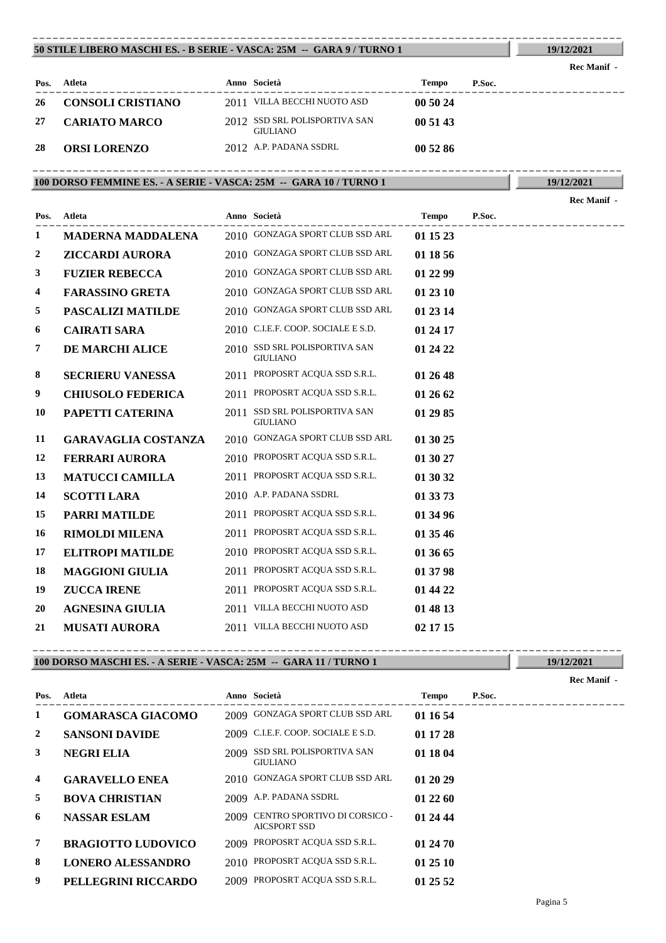#### **50 STILE LIBERO MASCHI ES. - B SERIE - VASCA: 25M -- GARA 9 / TURNO 1** ----------------------------------------------------------------------------------------

**19/12/2021**

| Pos. | Atleta                   | Anno Società                                     | Tempo    | P.Soc. |
|------|--------------------------|--------------------------------------------------|----------|--------|
| 26   | <b>CONSOLI CRISTIANO</b> | 2011 VILLA BECCHI NUOTO ASD                      | 00 50 24 |        |
| 27   | <b>CARIATO MARCO</b>     | 2012 SSD SRL POLISPORTIVA SAN<br><b>GIULIANO</b> | 00 51 43 |        |
| 28   | <b>ORSI LORENZO</b>      | 2012 A.P. PADANA SSDRL                           | 00 52 86 |        |

## **100 DORSO FEMMINE ES. - A SERIE - VASCA: 25M -- GARA 10 / TURNO 1** ----------------------------------------------------------------------------------------

**19/12/2021**

|      |                            |      |                                                  |          |        | Rec Manif - |
|------|----------------------------|------|--------------------------------------------------|----------|--------|-------------|
| Pos. | Atleta                     |      | Anno Società                                     | Tempo    | P.Soc. |             |
| 1    | <b>MADERNA MADDALENA</b>   |      | 2010 GONZAGA SPORT CLUB SSD ARL                  | 01 15 23 |        |             |
| 2    | <b>ZICCARDI AURORA</b>     |      | 2010 GONZAGA SPORT CLUB SSD ARL                  | 01 18 56 |        |             |
| 3    | <b>FUZIER REBECCA</b>      |      | 2010 GONZAGA SPORT CLUB SSD ARL                  | 01 22 99 |        |             |
| 4    | <b>FARASSINO GRETA</b>     |      | 2010 GONZAGA SPORT CLUB SSD ARL                  | 01 23 10 |        |             |
| 5    | <b>PASCALIZI MATILDE</b>   |      | 2010 GONZAGA SPORT CLUB SSD ARL                  | 01 23 14 |        |             |
| 6    | <b>CAIRATI SARA</b>        |      | 2010 C.I.E.F. COOP. SOCIALE E S.D.               | 01 24 17 |        |             |
| 7    | DE MARCHI ALICE            |      | 2010 SSD SRL POLISPORTIVA SAN<br><b>GIULIANO</b> | 01 24 22 |        |             |
| 8    | <b>SECRIERU VANESSA</b>    |      | 2011 PROPOSRT ACQUA SSD S.R.L.                   | 01 26 48 |        |             |
| 9    | <b>CHIUSOLO FEDERICA</b>   |      | 2011 PROPOSRT ACQUA SSD S.R.L.                   | 01 26 62 |        |             |
| 10   | PAPETTI CATERINA           | 2011 | SSD SRL POLISPORTIVA SAN<br><b>GIULIANO</b>      | 01 29 85 |        |             |
| 11   | <b>GARAVAGLIA COSTANZA</b> |      | 2010 GONZAGA SPORT CLUB SSD ARL                  | 01 30 25 |        |             |
| 12   | <b>FERRARI AURORA</b>      |      | 2010 PROPOSRT ACQUA SSD S.R.L.                   | 01 30 27 |        |             |
| 13   | <b>MATUCCI CAMILLA</b>     |      | 2011 PROPOSRT ACQUA SSD S.R.L.                   | 01 30 32 |        |             |
| 14   | <b>SCOTTI LARA</b>         |      | 2010 A.P. PADANA SSDRL                           | 01 33 73 |        |             |
| 15   | <b>PARRI MATILDE</b>       |      | 2011 PROPOSRT ACQUA SSD S.R.L.                   | 01 34 96 |        |             |
| 16   | <b>RIMOLDI MILENA</b>      |      | 2011 PROPOSRT ACQUA SSD S.R.L.                   | 01 35 46 |        |             |
| 17   | <b>ELITROPI MATILDE</b>    |      | 2010 PROPOSRT ACQUA SSD S.R.L.                   | 01 36 65 |        |             |
| 18   | <b>MAGGIONI GIULIA</b>     |      | 2011 PROPOSRT ACQUA SSD S.R.L.                   | 01 37 98 |        |             |
| 19   | <b>ZUCCA IRENE</b>         |      | 2011 PROPOSRT ACQUA SSD S.R.L.                   | 01 44 22 |        |             |
| 20   | <b>AGNESINA GIULIA</b>     |      | 2011 VILLA BECCHI NUOTO ASD                      | 01 48 13 |        |             |
| 21   | <b>MUSATI AURORA</b>       |      | 2011 VILLA BECCHI NUOTO ASD                      | 02 17 15 |        |             |

## **100 DORSO MASCHI ES. - A SERIE - VASCA: 25M -- GARA 11 / TURNO 1** ----------------------------------------------------------------------------------------

|      |                           |      |                                                     |              |        | Rec Manif - |
|------|---------------------------|------|-----------------------------------------------------|--------------|--------|-------------|
| Pos. | Atleta                    |      | Anno Società                                        | <b>Tempo</b> | P.Soc. |             |
| 1    | <b>GOMARASCA GIACOMO</b>  |      | 2009 GONZAGA SPORT CLUB SSD ARL                     | 01 16 54     |        |             |
| 2    | <b>SANSONI DAVIDE</b>     |      | 2009 C.I.E.F. COOP. SOCIALE E S.D.                  | 01 17 28     |        |             |
| 3    | <b>NEGRI ELIA</b>         |      | 2009 SSD SRL POLISPORTIVA SAN<br><b>GIULIANO</b>    | 01 18 04     |        |             |
| 4    | <b>GARAVELLO ENEA</b>     |      | 2010 GONZAGA SPORT CLUB SSD ARL                     | 01 20 29     |        |             |
| 5    | <b>BOVA CHRISTIAN</b>     |      | 2009 A.P. PADANA SSDRL                              | 01 22 60     |        |             |
| 6    | <b>NASSAR ESLAM</b>       | 2009 | CENTRO SPORTIVO DI CORSICO -<br><b>AICSPORT SSD</b> | 01 24 44     |        |             |
| 7    | <b>BRAGIOTTO LUDOVICO</b> | 2009 | PROPOSRT ACQUA SSD S.R.L.                           | 01 24 70     |        |             |
| 8    | <b>LONERO ALESSANDRO</b>  |      | 2010 PROPOSRT ACQUA SSD S.R.L.                      | 01 25 10     |        |             |
| 9    | PELLEGRINI RICCARDO       |      | 2009 PROPOSRT ACQUA SSD S.R.L.                      | 01 25 52     |        |             |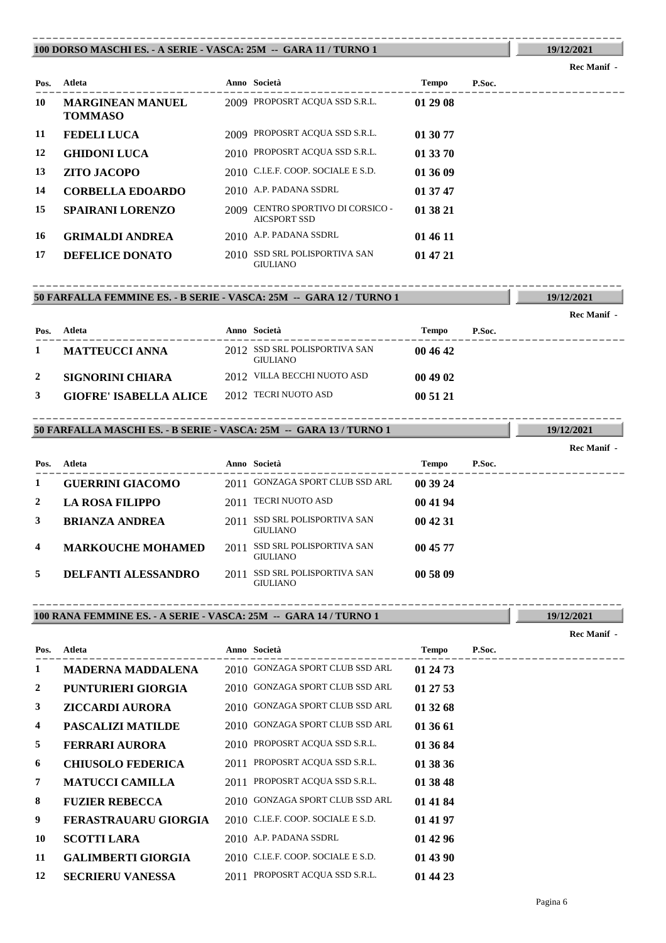#### **100 DORSO MASCHI ES. - A SERIE - VASCA: 25M -- GARA 11 / TURNO 1** ----------------------------------------------------------------------------------------

|      |                                           |      |                                                  |          |        | Rec Manif - |
|------|-------------------------------------------|------|--------------------------------------------------|----------|--------|-------------|
| Pos. | Atleta                                    |      | Anno Società                                     | Tempo    | P.Soc. |             |
| 10   | <b>MARGINEAN MANUEL</b><br><b>TOMMASO</b> |      | 2009 PROPOSRT ACQUA SSD S.R.L.                   | 01 29 08 |        |             |
| 11   | <b>FEDELI LUCA</b>                        |      | 2009 PROPOSRT ACQUA SSD S.R.L.                   | 01 30 77 |        |             |
| 12   | <b>GHIDONI LUCA</b>                       |      | 2010 PROPOSRT ACQUA SSD S.R.L.                   | 01 33 70 |        |             |
| 13   | ZITO JACOPO                               |      | 2010 C.I.E.F. COOP. SOCIALE E S.D.               | 01 36 09 |        |             |
| 14   | <b>CORBELLA EDOARDO</b>                   |      | 2010 A.P. PADANA SSDRL                           | 01 37 47 |        |             |
| 15   | <b>SPAIRANI LORENZO</b>                   | 2009 | CENTRO SPORTIVO DI CORSICO -<br>AICSPORT SSD     | 01 38 21 |        |             |
| 16   | <b>GRIMALDI ANDREA</b>                    |      | 2010 A.P. PADANA SSDRL                           | 01 46 11 |        |             |
| 17   | DEFELICE DONATO                           |      | 2010 SSD SRL POLISPORTIVA SAN<br><b>GIULIANO</b> | 01 47 21 |        |             |

## **50 FARFALLA FEMMINE ES. - B SERIE - VASCA: 25M -- GARA 12 / TURNO 1** ----------------------------------------------------------------------------------------

|      |                               |                                                  |          |        | www.nami |
|------|-------------------------------|--------------------------------------------------|----------|--------|----------|
| Pos. | Atleta                        | Anno Società                                     | Tempo    | P.Soc. |          |
|      | <b>MATTEUCCI ANNA</b>         | 2012 SSD SRL POLISPORTIVA SAN<br><b>GIULIANO</b> | 004642   |        |          |
|      | SIGNORINI CHIARA              | 2012 VILLA BECCHI NUOTO ASD                      | 00 49 02 |        |          |
|      | <b>GIOFRE' ISABELLA ALICE</b> | 2012 TECRI NUOTO ASD                             | 00 51 21 |        |          |

## **50 FARFALLA MASCHI ES. - B SERIE - VASCA: 25M -- GARA 13 / TURNO 1** ----------------------------------------------------------------------------------------

|                         |                            |      |                                                    |              |        | <b>Rec Manif</b> - |
|-------------------------|----------------------------|------|----------------------------------------------------|--------------|--------|--------------------|
| Pos.                    | Atleta                     |      | Anno Società                                       | <b>Tempo</b> | P.Soc. |                    |
|                         | <b>GUERRINI GIACOMO</b>    |      | 2011 GONZAGA SPORT CLUB SSD ARL                    | 00 39 24     |        |                    |
| 2                       | LA ROSA FILIPPO            | 2011 | TECRI NUOTO ASD                                    | 00 41 94     |        |                    |
| 3                       | <b>BRIANZA ANDREA</b>      | 2011 | SSD SRL POLISPORTIVA SAN<br><b>GIULIANO</b>        | 00 42 31     |        |                    |
| $\overline{\mathbf{4}}$ | <b>MARKOUCHE MOHAMED</b>   | 2011 | <b>SSD SRL POLISPORTIVA SAN</b><br><b>GIULIANO</b> | 00 45 77     |        |                    |
| 5                       | <b>DELFANTI ALESSANDRO</b> | 2011 | <b>SSD SRL POLISPORTIVA SAN</b><br><b>GIULIANO</b> | 00 58 09     |        |                    |

## **100 RANA FEMMINE ES. - A SERIE - VASCA: 25M -- GARA 14 / TURNO 1** ----------------------------------------------------------------------------------------

**Pos.**

---------------------------------------------------------------------------------------- **Atleta Anno Società Tempo P.Soc. MADERNA MADDALENA** 2010 GONZAGA SPORT CLUB SSD ARL **01 24 73 PUNTURIERI GIORGIA** 2010 GONZAGA SPORT CLUB SSD ARL **01 27 53 ZICCARDI AURORA** 2010 GONZAGA SPORT CLUB SSD ARL **01 32 68 PASCALIZI MATILDE** 2010 GONZAGA SPORT CLUB SSD ARL **01 36 61 FERRARI AURORA** 2010 PROPOSRT ACQUA SSD S.R.L. **01 36 84**

| ∍  | FEKKAKI AUKOKA            | $2010$ FNOROSNT ACQUA SSD S.N.L.   | VI 56 84 |
|----|---------------------------|------------------------------------|----------|
| 6  | <b>CHIUSOLO FEDERICA</b>  | 2011 PROPOSRT ACQUA SSD S.R.L.     | 01 38 36 |
|    | <b>MATUCCI CAMILLA</b>    | 2011 PROPOSRT ACQUA SSD S.R.L.     | 01 38 48 |
| 8  | <b>FUZIER REBECCA</b>     | 2010 GONZAGA SPORT CLUB SSD ARL    | 01 41 84 |
| 9  | FERASTRAUARU GIORGIA      | 2010 C.I.E.F. COOP. SOCIALE E S.D. | 01 41 97 |
| 10 | <b>SCOTTI LARA</b>        | 2010 A.P. PADANA SSDRL             | 01 42 96 |
| 11 | <b>GALIMBERTI GIORGIA</b> | 2010 C.I.E.F. COOP. SOCIALE E S.D. | 01 43 90 |
| 12 | <b>SECRIERU VANESSA</b>   | 2011 PROPOSRT ACQUA SSD S.R.L.     | 01 44 23 |

# **19/12/2021**

**19/12/2021 Rec Manif** 

**19/12/2021**

**19/12/2021**

**Rec Manif -**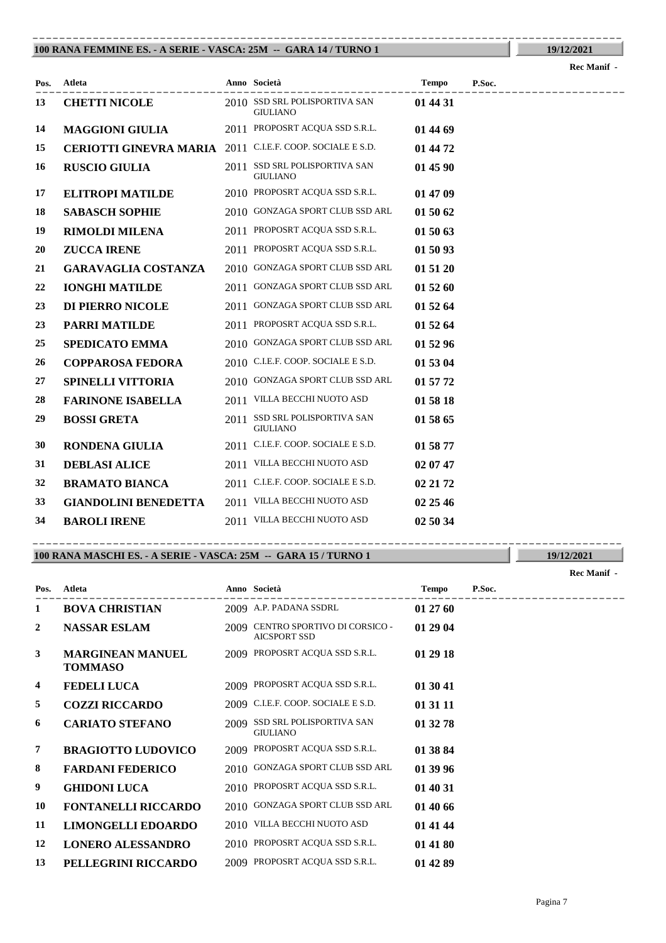#### **100 RANA FEMMINE ES. - A SERIE - VASCA: 25M -- GARA 14 / TURNO 1** ----------------------------------------------------------------------------------------

**19/12/2021 Rec Manif -** 

| Pos. | Atleta                                                    | Anno Società                                     | <b>Tempo</b> | P.Soc. |
|------|-----------------------------------------------------------|--------------------------------------------------|--------------|--------|
| 13   | <b>CHETTI NICOLE</b>                                      | 2010 SSD SRL POLISPORTIVA SAN<br><b>GIULIANO</b> | 01 44 31     |        |
| 14   | <b>MAGGIONI GIULIA</b>                                    | 2011 PROPOSRT ACQUA SSD S.R.L.                   | 01 44 69     |        |
| 15   | CERIOTTI GINEVRA MARIA 2011 C.I.E.F. COOP. SOCIALE E S.D. |                                                  | 01 44 72     |        |
| 16   | <b>RUSCIO GIULIA</b>                                      | 2011 SSD SRL POLISPORTIVA SAN<br><b>GIULIANO</b> | 01 45 90     |        |
| 17   | <b>ELITROPI MATILDE</b>                                   | 2010 PROPOSRT ACQUA SSD S.R.L.                   | 01 47 09     |        |
| 18   | <b>SABASCH SOPHIE</b>                                     | 2010 GONZAGA SPORT CLUB SSD ARL                  | 01 50 62     |        |
| 19   | <b>RIMOLDI MILENA</b>                                     | 2011 PROPOSRT ACQUA SSD S.R.L.                   | 01 50 63     |        |
| 20   | <b>ZUCCA IRENE</b>                                        | 2011 PROPOSRT ACQUA SSD S.R.L.                   | 01 50 93     |        |
| 21   | <b>GARAVAGLIA COSTANZA</b>                                | 2010 GONZAGA SPORT CLUB SSD ARL                  | 01 51 20     |        |
| 22   | <b>IONGHI MATILDE</b>                                     | 2011 GONZAGA SPORT CLUB SSD ARL                  | 01 52 60     |        |
| 23   | DI PIERRO NICOLE                                          | 2011 GONZAGA SPORT CLUB SSD ARL                  | 01 52 64     |        |
| 23   | <b>PARRI MATILDE</b>                                      | 2011 PROPOSRT ACQUA SSD S.R.L.                   | 01 52 64     |        |
| 25   | <b>SPEDICATO EMMA</b>                                     | 2010 GONZAGA SPORT CLUB SSD ARL                  | 01 52 96     |        |
| 26   | <b>COPPAROSA FEDORA</b>                                   | 2010 C.I.E.F. COOP. SOCIALE E S.D.               | 01 53 04     |        |
| 27   | <b>SPINELLI VITTORIA</b>                                  | 2010 GONZAGA SPORT CLUB SSD ARL                  | 01 57 72     |        |
| 28   | <b>FARINONE ISABELLA</b>                                  | 2011 VILLA BECCHI NUOTO ASD                      | 01 58 18     |        |
| 29   | <b>BOSSI GRETA</b>                                        | 2011 SSD SRL POLISPORTIVA SAN<br><b>GIULIANO</b> | 01 58 65     |        |
| 30   | <b>RONDENA GIULIA</b>                                     | 2011 C.I.E.F. COOP. SOCIALE E S.D.               | 01 58 77     |        |
| 31   | <b>DEBLASI ALICE</b>                                      | 2011 VILLA BECCHI NUOTO ASD                      | 02 07 47     |        |
| 32   | <b>BRAMATO BIANCA</b>                                     | 2011 C.I.E.F. COOP. SOCIALE E S.D.               | 02 21 72     |        |
| 33   | <b>GIANDOLINI BENEDETTA</b>                               | 2011 VILLA BECCHI NUOTO ASD                      | 02 25 46     |        |
| 34   | <b>BAROLI IRENE</b>                                       | 2011 VILLA BECCHI NUOTO ASD                      | 02 50 34     |        |

## **100 RANA MASCHI ES. - A SERIE - VASCA: 25M -- GARA 15 / TURNO 1** ----------------------------------------------------------------------------------------

---------------------------------------------------------------------------------------- **Atleta Anno Società Tempo P.Soc. Pos. Rec Manif - 1 BOVA CHRISTIAN** 2009 A.P. PADANA SSDRL **01 27 60 2 NASSAR ESLAM** 2009 **CENTRO SPORTIVO DI CORSICO** - **01 29 04** AICSPORT SSD **MARGINEAN MANUEL** 2009 **PROPOSRT ACQUA SSD S.R.L. 01 29 18 TOMMASO 4 FEDELI LUCA** 2009 PROPOSRT ACQUA SSD S.R.L. **01 30 41 5 COZZI RICCARDO** 2009 C.I.E.F. COOP. SOCIALE E S.D. **01 31 11 6 CARIATO STEFANO** 2009 SSD SRL POLISPORTIVA SAN **01 32 78** GIULIANO **7 BRAGIOTTO LUDOVICO** 2009 PROPOSRT ACQUA SSD S.R.L. **01 38 84 8 FARDANI FEDERICO** 2010 GONZAGA SPORT CLUB SSD ARL **01 39 96 9 GHIDONI LUCA** 2010 PROPOSRT ACQUA SSD S.R.L. **01 40 31 10 FONTANELLI RICCARDO** 2010 GONZAGA SPORT CLUB SSD ARL **01 40 66 11 LIMONGELLI EDOARDO** 2010 VILLA BECCHI NUOTO ASD **01 41 44 12 LONERO ALESSANDRO** 2010 PROPOSRT ACQUA SSD S.R.L. **01 41 80 13 PELLEGRINI RICCARDO** 2009 PROPOSRT ACQUA SSD S.R.L. **01 42 89**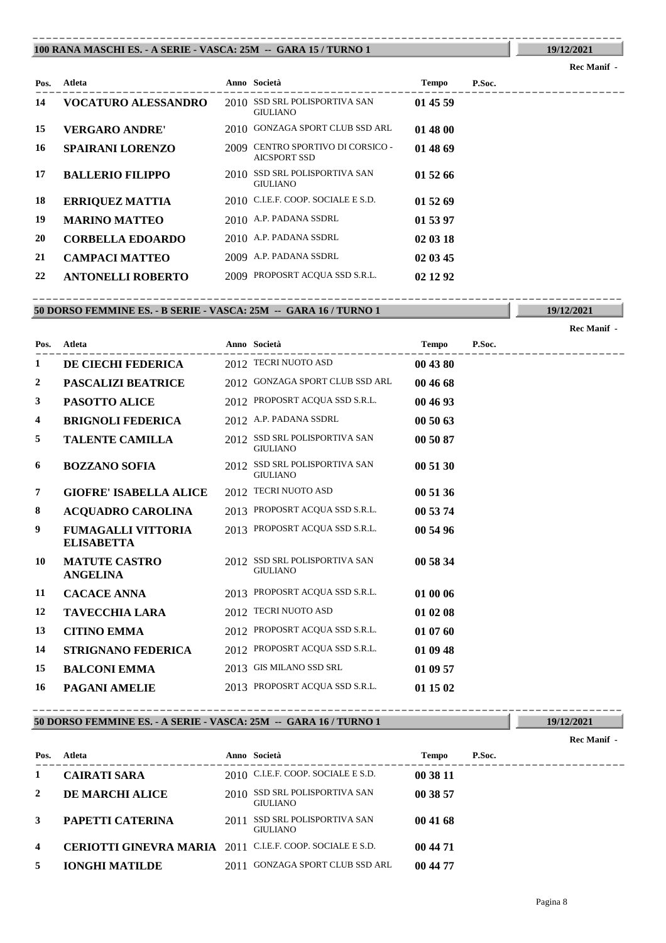#### **100 RANA MASCHI ES. - A SERIE - VASCA: 25M -- GARA 15 / TURNO 1** ----------------------------------------------------------------------------------------

## **Rec Manif -**

**19/12/2021**

| Pos. | Atleta                     | Anno Società                                             | Tempo    | P.Soc. |
|------|----------------------------|----------------------------------------------------------|----------|--------|
| 14   | <b>VOCATURO ALESSANDRO</b> | 2010 SSD SRL POLISPORTIVA SAN<br><b>GIULIANO</b>         | 01 45 59 |        |
| 15   | <b>VERGARO ANDRE'</b>      | 2010 GONZAGA SPORT CLUB SSD ARL                          | 01 48 00 |        |
| 16   | <b>SPAIRANI LORENZO</b>    | 2009 CENTRO SPORTIVO DI CORSICO -<br><b>AICSPORT SSD</b> | 01 48 69 |        |
| 17   | <b>BALLERIO FILIPPO</b>    | 2010 SSD SRL POLISPORTIVA SAN<br><b>GIULIANO</b>         | 01 52 66 |        |
| 18   | <b>ERRIQUEZ MATTIA</b>     | 2010 C.I.E.F. COOP. SOCIALE E S.D.                       | 01 52 69 |        |
| 19   | <b>MARINO MATTEO</b>       | 2010 A.P. PADANA SSDRL                                   | 01 53 97 |        |
| 20   | <b>CORBELLA EDOARDO</b>    | 2010 A.P. PADANA SSDRL                                   | 02 03 18 |        |
| 21   | <b>CAMPACI MATTEO</b>      | 2009 A.P. PADANA SSDRL                                   | 02 03 45 |        |
| 22   | <b>ANTONELLI ROBERTO</b>   | 2009 PROPOSRT ACQUA SSD S.R.L.                           | 02 12 92 |        |

## **50 DORSO FEMMINE ES. - B SERIE - VASCA: 25M -- GARA 16 / TURNO 1** ----------------------------------------------------------------------------------------

**19/12/2021**

|      |                                                |      |                                                  |              |        | <b>Rec Manif</b> - |
|------|------------------------------------------------|------|--------------------------------------------------|--------------|--------|--------------------|
| Pos. | <b>Atleta</b>                                  |      | Anno Società                                     | <b>Tempo</b> | P.Soc. |                    |
| 1    | DE CIECHI FEDERICA                             |      | 2012 TECRI NUOTO ASD                             | 00 43 80     |        |                    |
| 2    | PASCALIZI BEATRICE                             |      | 2012 GONZAGA SPORT CLUB SSD ARL                  | 00 46 68     |        |                    |
| 3    | <b>PASOTTO ALICE</b>                           |      | 2012 PROPOSRT ACQUA SSD S.R.L.                   | 00 46 93     |        |                    |
| 4    | <b>BRIGNOLI FEDERICA</b>                       |      | 2012 A.P. PADANA SSDRL                           | 00 50 63     |        |                    |
| 5    | <b>TALENTE CAMILLA</b>                         |      | 2012 SSD SRL POLISPORTIVA SAN<br><b>GIULIANO</b> | 00 50 87     |        |                    |
| 6    | <b>BOZZANO SOFIA</b>                           | 2012 | SSD SRL POLISPORTIVA SAN<br><b>GIULIANO</b>      | 00 51 30     |        |                    |
| 7    | <b>GIOFRE' ISABELLA ALICE</b>                  |      | 2012 TECRI NUOTO ASD                             | 00 51 36     |        |                    |
| 8    | <b>ACQUADRO CAROLINA</b>                       |      | 2013 PROPOSRT ACQUA SSD S.R.L.                   | 00 53 74     |        |                    |
| 9    | <b>FUMAGALLI VITTORIA</b><br><b>ELISABETTA</b> |      | 2013 PROPOSRT ACQUA SSD S.R.L.                   | 00 54 96     |        |                    |
| 10   | <b>MATUTE CASTRO</b><br><b>ANGELINA</b>        |      | 2012 SSD SRL POLISPORTIVA SAN<br><b>GIULIANO</b> | 00 58 34     |        |                    |
| 11   | <b>CACACE ANNA</b>                             |      | 2013 PROPOSRT ACQUA SSD S.R.L.                   | 01 00 06     |        |                    |
| 12   | <b>TAVECCHIA LARA</b>                          |      | 2012 TECRI NUOTO ASD                             | 01 02 08     |        |                    |
| 13   | <b>CITINO EMMA</b>                             |      | 2012 PROPOSRT ACQUA SSD S.R.L.                   | 01 07 60     |        |                    |
| 14   | STRIGNANO FEDERICA                             |      | 2012 PROPOSRT ACQUA SSD S.R.L.                   | 01 09 48     |        |                    |
| 15   | <b>BALCONI EMMA</b>                            |      | 2013 GIS MILANO SSD SRL                          | 01 09 57     |        |                    |
| 16   | <b>PAGANI AMELIE</b>                           |      | 2013 PROPOSRT ACQUA SSD S.R.L.                   | 01 15 02     |        |                    |

**50 DORSO FEMMINE ES. - A SERIE - VASCA: 25M -- GARA 16 / TURNO 1** ----------------------------------------------------------------------------------------

|                         |                                    |      |                                             |              |        | Rec Manif - |
|-------------------------|------------------------------------|------|---------------------------------------------|--------------|--------|-------------|
| Pos.                    | Atleta                             |      | Anno Società                                | <b>Tempo</b> | P.Soc. |             |
| 1                       | <b>CAIRATI SARA</b>                |      | $2010$ C.I.E.F. COOP. SOCIALE E S.D.        | 00 38 11     |        |             |
| 2                       | DE MARCHI ALICE                    | 2010 | SSD SRL POLISPORTIVA SAN<br><b>GIULIANO</b> | 00 38 57     |        |             |
| 3                       | PAPETTI CATERINA                   | 2011 | SSD SRL POLISPORTIVA SAN<br><b>GIULIANO</b> | 00 41 68     |        |             |
| $\overline{\mathbf{4}}$ | <b>CERIOTTI GINEVRA MARIA 2011</b> |      | C.I.E.F. COOP. SOCIALE E S.D.               | 00 44 71     |        |             |
| 5                       | <b>IONGHI MATILDE</b>              | 2011 | GONZAGA SPORT CLUB SSD ARL                  | 00 44 77     |        |             |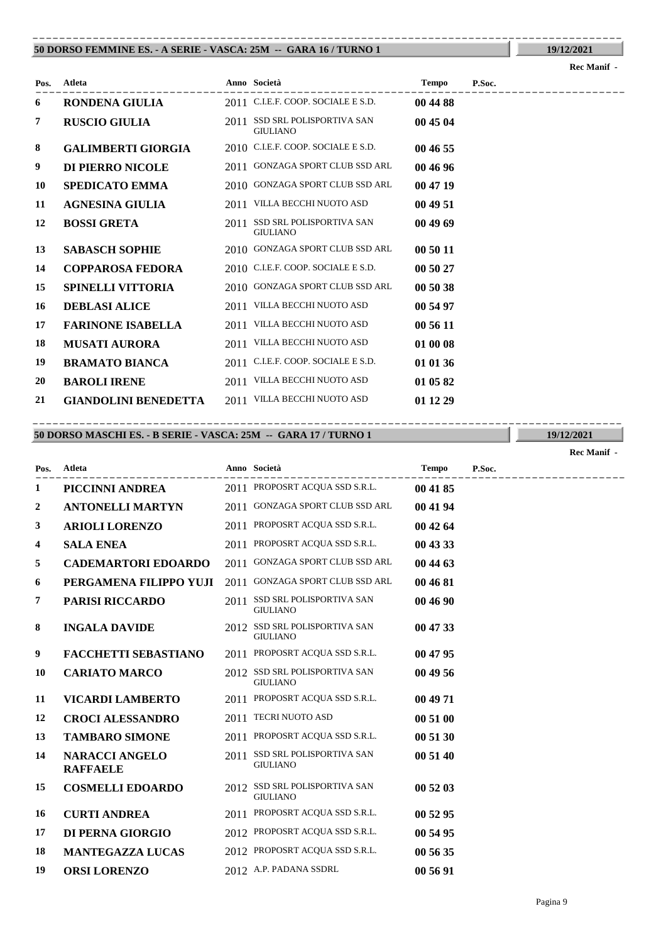#### **50 DORSO FEMMINE ES. - A SERIE - VASCA: 25M -- GARA 16 / TURNO 1** ----------------------------------------------------------------------------------------

| Pos. | <b>Atleta</b>               |      | Anno Società                                     | <b>Tempo</b> | P.Soc. |
|------|-----------------------------|------|--------------------------------------------------|--------------|--------|
| 6    | <b>RONDENA GIULIA</b>       |      | 2011 C.I.E.F. COOP. SOCIALE E S.D.               | 00 44 88     |        |
| 7    | <b>RUSCIO GIULIA</b>        |      | 2011 SSD SRL POLISPORTIVA SAN<br><b>GIULIANO</b> | 00 45 04     |        |
| 8    | <b>GALIMBERTI GIORGIA</b>   |      | 2010 C.I.E.F. COOP. SOCIALE E S.D.               | 00 46 55     |        |
| 9    | DI PIERRO NICOLE            |      | 2011 GONZAGA SPORT CLUB SSD ARL                  | 00 46 96     |        |
| 10   | <b>SPEDICATO EMMA</b>       |      | 2010 GONZAGA SPORT CLUB SSD ARL                  | 00 47 19     |        |
| 11   | AGNESINA GIULIA             |      | 2011 VILLA BECCHI NUOTO ASD                      | 00 49 51     |        |
| 12   | <b>BOSSI GRETA</b>          | 2011 | SSD SRL POLISPORTIVA SAN<br><b>GIULIANO</b>      | 00 49 69     |        |
| 13   | <b>SABASCH SOPHIE</b>       |      | 2010 GONZAGA SPORT CLUB SSD ARL                  | 00 50 11     |        |
| 14   | <b>COPPAROSA FEDORA</b>     |      | 2010 C.I.E.F. COOP. SOCIALE E S.D.               | 00 50 27     |        |
| 15   | <b>SPINELLI VITTORIA</b>    |      | 2010 GONZAGA SPORT CLUB SSD ARL                  | 00 50 38     |        |
| 16   | <b>DEBLASI ALICE</b>        |      | 2011 VILLA BECCHI NUOTO ASD                      | 00 54 97     |        |
| 17   | <b>FARINONE ISABELLA</b>    |      | 2011 VILLA BECCHI NUOTO ASD                      | 00 56 11     |        |
| 18   | <b>MUSATI AURORA</b>        | 2011 | VILLA BECCHI NUOTO ASD                           | 01 00 08     |        |
| 19   | <b>BRAMATO BIANCA</b>       |      | 2011 C.I.E.F. COOP. SOCIALE E S.D.               | 01 01 36     |        |
| 20   | <b>BAROLI IRENE</b>         |      | 2011 VILLA BECCHI NUOTO ASD                      | 01 05 82     |        |
| 21   | <b>GIANDOLINI BENEDETTA</b> |      | 2011 VILLA BECCHI NUOTO ASD                      | 01 12 29     |        |

----------------------------------------------------------------------------------------

### **50 DORSO MASCHI ES. - B SERIE - VASCA: 25M -- GARA 17 / TURNO 1**

**Pos.**

---------------------------------------------------------------------------------------- **PICCINNI ANDREA** 2011 PROPOSRT ACQUA SSD S.R.L. **00 41 85 ANTONELLI MARTYN** 2011 GONZAGA SPORT CLUB SSD ARL **00 41 94 ARIOLI LORENZO** 2011 PROPOSRT ACQUA SSD S.R.L. **00 42 64 SALA ENEA** 2011 PROPOSRT ACQUA SSD S.R.L. **00 43 33 CADEMARTORI EDOARDO** 2011 GONZAGA SPORT CLUB SSD ARL **00 44 63 PERGAMENA FILIPPO YUJI** 2011 GONZAGA SPORT CLUB SSD ARL **00 46 81 PARISI RICCARDO** 2011 SSD SRL POLISPORTIVA SAN 00 46 90 GIULIANO **INGALA DAVIDE** 2012 SSD SRL POLISPORTIVA SAN 00 47 33 GIULIANO **FACCHETTI SEBASTIANO** 2011 PROPOSRT ACQUA SSD S.R.L. **00 47 95 10 CARIATO MARCO** 2012 SSD SRL POLISPORTIVA SAN **00 49 56** GIULIANO **VICARDI LAMBERTO** 2011 PROPOSRT ACQUA SSD S.R.L. **00 49 71 CROCI ALESSANDRO** 2011 TECRI NUOTO ASD **00 51 00 TAMBARO SIMONE** 2011 PROPOSRT ACQUA SSD S.R.L. **00 51 30**

14 **NARACCI ANGELO** 2011 SSD SRL POLISPORTIVA SAN 00 51 40 GIULIANO **NARACCI ANGELO RAFFAELE 15 COSMELLI EDOARDO** 2012 SSD SRL POLISPORTIVA SAN **00 52 03** GIULIANO **16 CURTI ANDREA** 2011 PROPOSRT ACQUA SSD S.R.L. **00 52 95 17 DI PERNA GIORGIO** 2012 PROPOSRT ACQUA SSD S.R.L. **00 54 95 18 MANTEGAZZA LUCAS** 2012 PROPOSRT ACQUA SSD S.R.L. **00 56 35 19 ORSI LORENZO** 2012 A.P. PADANA SSDRL **00 56 91**

**Atleta Anno Società Tempo P.Soc.**

**19/12/2021**

**Rec Manif -** 

**19/12/2021**

**Rec Manif -**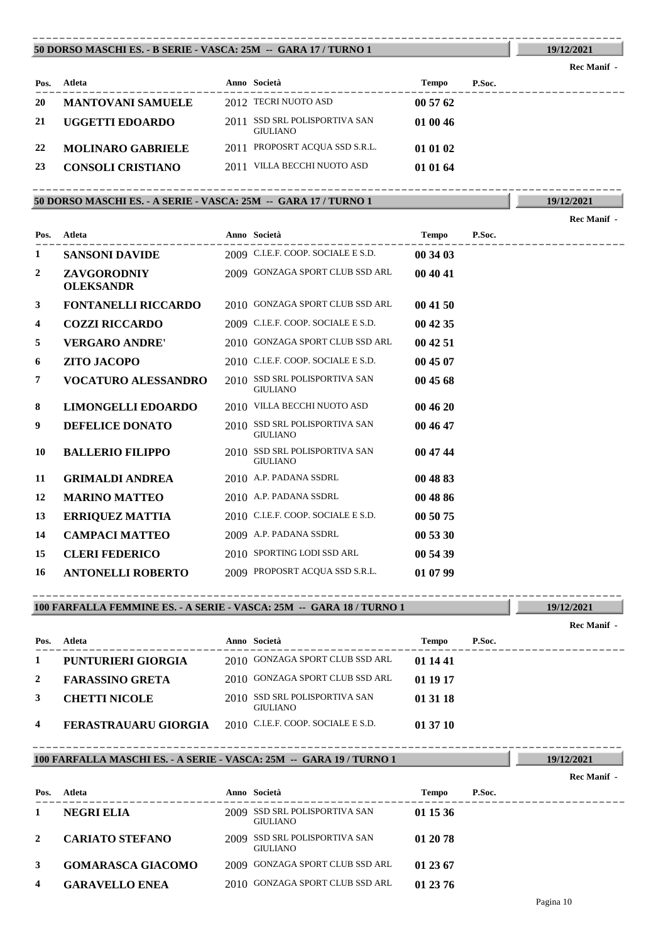#### **50 DORSO MASCHI ES. - B SERIE - VASCA: 25M -- GARA 17 / TURNO 1** ----------------------------------------------------------------------------------------

| Pos. | Atleta                   |      | Anno Società                                | <b>Tempo</b> | P.Soc. |
|------|--------------------------|------|---------------------------------------------|--------------|--------|
| 20   | <b>MANTOVANI SAMUELE</b> |      | 2012 TECRI NUOTO ASD                        | 00 57 62     |        |
| 21   | UGGETTI EDOARDO          | 2011 | SSD SRL POLISPORTIVA SAN<br><b>GIULIANO</b> | 01 00 46     |        |
| 22   | <b>MOLINARO GABRIELE</b> |      | 2011 PROPOSRT ACQUA SSD S.R.L.              | 01 01 02     |        |
| 23   | <b>CONSOLI CRISTIANO</b> |      | 2011 VILLA BECCHI NUOTO ASD                 | 01 01 64     |        |

## **50 DORSO MASCHI ES. - A SERIE - VASCA: 25M -- GARA 17 / TURNO 1**

---------------------------------------------------------------------------------------- **Atleta Anno Società Tempo P.Soc. Pos. Rec Manif - 1 SANSONI DAVIDE** 2009 C.I.E.F. COOP. SOCIALE E S.D. **00 34 03 ZAVGORODNIY** 2009 GONZAGA SPORT CLUB SSD ARL **00 40 41 OLEKSANDR 3 FONTANELLI RICCARDO** 2010 GONZAGA SPORT CLUB SSD ARL **00 41 50 4 COZZI RICCARDO** 2009 C.I.E.F. COOP. SOCIALE E S.D. **00 42 35 5 VERGARO ANDRE'** 2010 GONZAGA SPORT CLUB SSD ARL **00 42 51 6 ZITO JACOPO** 2010 C.I.E.F. COOP. SOCIALE E S.D. **00 45 07 7 VOCATURO ALESSANDRO** 2010 **SSD SRL POLISPORTIVA SAN 00 45 68** GIULIANO **8 LIMONGELLI EDOARDO** 2010 VILLA BECCHI NUOTO ASD **00 46 20 9 DEFELICE DONATO** 2010 SSD SRL POLISPORTIVA SAN **00 46 47** GIULIANO **10 BALLERIO FILIPPO** 2010 SSD SRL POLISPORTIVA SAN **00 47 44** GIULIANO **11 GRIMALDI ANDREA** 2010 A.P. PADANA SSDRL **00 48 83 12 MARINO MATTEO** 2010 A.P. PADANA SSDRL **00 48 86 13 ERRIQUEZ MATTIA** 2010 C.I.E.F. COOP. SOCIALE E S.D. **00 50 75 14 CAMPACI MATTEO** 2009 A.P. PADANA SSDRL **00 53 30 15 CLERI FEDERICO** 2010 SPORTING LODI SSD ARL **00 54 39 16 ANTONELLI ROBERTO** 2009 PROPOSRT ACQUA SSD S.R.L. **01 07 99**

**100 FARFALLA FEMMINE ES. - A SERIE - VASCA: 25M -- GARA 18 / TURNO 1** ----------------------------------------------------------------------------------------

---------------------------------------------------------------------------------------- **Atleta Anno Società Tempo P.Soc. Pos. 1 PUNTURIERI GIORGIA** 2010 GONZAGA SPORT CLUB SSD ARL **01 14 41 2 FARASSINO GRETA** 2010 GONZAGA SPORT CLUB SSD ARL **01 19 17** 3 **CHETTI NICOLE** 2010 SSD SRL POLISPORTIVA SAN 01 31 18 GIULIANO **4 FERASTRAUARU GIORGIA** 2010 C.I.E.F. COOP. SOCIALE E S.D. **01 37 10**

### **100 FARFALLA MASCHI ES. - A SERIE - VASCA: 25M -- GARA 19 / TURNO 1** ----------------------------------------------------------------------------------------

| Pos. | Atleta                   |      | Anno Società                                | <b>Tempo</b> | P.Soc. |
|------|--------------------------|------|---------------------------------------------|--------------|--------|
|      | <b>NEGRI ELIA</b>        | 2009 | SSD SRL POLISPORTIVA SAN<br><b>GIULIANO</b> | 01 15 36     |        |
| 2    | <b>CARIATO STEFANO</b>   | 2009 | SSD SRL POLISPORTIVA SAN<br><b>GIULIANO</b> | 01 20 78     |        |
| 3    | <b>GOMARASCA GIACOMO</b> |      | 2009 GONZAGA SPORT CLUB SSD ARL             | 01 23 67     |        |
| 4    | <b>GARAVELLO ENEA</b>    |      | 2010 GONZAGA SPORT CLUB SSD ARL             | 01 23 76     |        |

**Rec Manif -** 

**19/12/2021**

**19/12/2021** ----------------------------------------------------------------------------------------

**Rec Manif -** 

**19/12/2021**

**Rec Manif -**